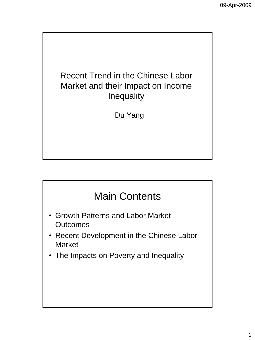

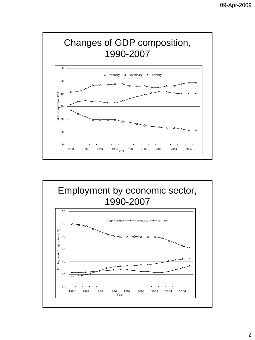

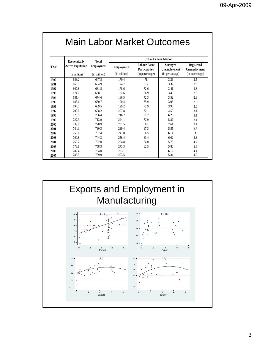| Year         | Economically<br><b>Active Population</b><br>(in million) | <b>Total</b><br><b>Employment</b><br>(in million) | <b>Urban Labour Market</b>        |                                                         |                                                    |                                               |  |
|--------------|----------------------------------------------------------|---------------------------------------------------|-----------------------------------|---------------------------------------------------------|----------------------------------------------------|-----------------------------------------------|--|
|              |                                                          |                                                   | <b>Employment</b><br>(in million) | <b>Labour Force</b><br>Participation<br>(in percentage) | <b>Surveyed</b><br>Unemployment<br>(in percentage) | Registered<br>Unemployment<br>(in percentage) |  |
|              |                                                          |                                                   |                                   |                                                         |                                                    |                                               |  |
| 1990         | 653.2                                                    | 647.5                                             | 170.4                             | 78                                                      | 3.26                                               | 2.5                                           |  |
| 1991         | 660.9                                                    | 654.9                                             | 174.7                             | 83                                                      | 3.32                                               | 2.3                                           |  |
| 1992         | 667.8                                                    | 661.5                                             | 178.6                             | 72.6                                                    | 3.41                                               | 2.3                                           |  |
| 1993         | 674.7                                                    | 668.1                                             | 182.6                             | 66.9                                                    | 3.49                                               | 2.6                                           |  |
| 1994         | 681.4                                                    | 674.6                                             | 186.5                             | 72.3                                                    | 3.52                                               | 2.8                                           |  |
| 1995         | 688.6                                                    | 680.7                                             | 190.4                             | 75.9                                                    | 3.98                                               | 2.9                                           |  |
| 1996         | 697.7                                                    | 689.5                                             | 199.2                             | 72.9                                                    | 3.93                                               | 3.0                                           |  |
| 1997         | 708.0                                                    | 698.2                                             | 207.8                             | 72.1                                                    | 4.50                                               | 3.1                                           |  |
| 1998         | 720.9                                                    | 706.4                                             | 216.2                             | 71.2                                                    | 6.29                                               | 3.1                                           |  |
| 1999         | 727.9                                                    | 713.9                                             | 224.1                             | 72.9                                                    | 5.87                                               | 3.1                                           |  |
| 2000         | 739.9                                                    | 720.9                                             | 231.5                             | 66.1                                                    | 7.61                                               | 3.1                                           |  |
| 2001         | 744.3                                                    | 730.3                                             | 239.4                             | 67.3                                                    | 5.55                                               | 3.6                                           |  |
| 2002         | 753.6                                                    | 737.4                                             | 247.8                             | 66.5                                                    | 6.14                                               | $\overline{4}$                                |  |
| 2003         | 760.8                                                    | 744.3                                             | 256.4                             | 63.4                                                    | 6.02                                               | 4.3                                           |  |
| 2004         | 768.2                                                    | 752.0                                             | 264.8                             | 64.0                                                    | 5.78                                               | 4.2                                           |  |
| 2005         | 778.8                                                    | 758.3                                             | 273.3                             | 62.5                                                    | 5.80                                               | 4.2                                           |  |
|              | 782.4                                                    | 764.0                                             | 283.1                             |                                                         | 6.12                                               | 4.1                                           |  |
| 2006<br>2007 | 786.5                                                    | 769.9                                             | 293.5                             |                                                         | 5.34                                               | 4.0                                           |  |

## Main Labor Market Outcomes

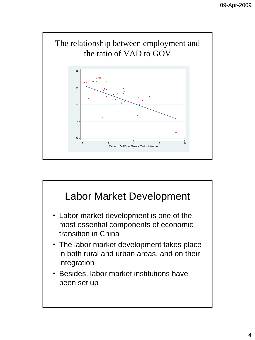

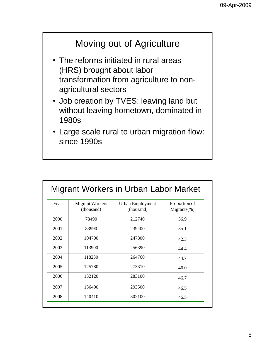### Moving out of Agriculture

- The reforms initiated in rural areas (HRS) brought about labor transformation from agriculture to nonagricultural sectors
- Job creation by TVES: leaving land but without leaving hometown, dominated in 1980s
- Large scale rural to urban migration flow: since 1990s

| Year | Migrant Workers<br>(thousand) | Urban Employment<br>(thousand) | Proportion of<br>$Migrams(\%)$ |
|------|-------------------------------|--------------------------------|--------------------------------|
| 2000 | 78490                         | 212740                         | 36.9                           |
| 2001 | 83990                         | 239400                         | 35.1                           |
| 2002 | 104700                        | 247800                         | 42.3                           |
| 2003 | 113900                        | 256390                         | 44.4                           |
| 2004 | 118230                        | 264760                         | 44.7                           |
| 2005 | 125780                        | 273310                         | 46.0                           |
| 2006 | 132120                        | 283100                         | 46.7                           |
| 2007 | 136490                        | 293500                         | 46.5                           |
| 2008 | 140410                        | 302100                         | 46.5                           |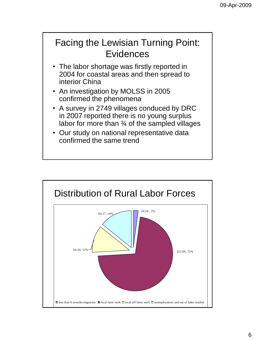

- The labor shortage was firstly reported in 2004 for coastal areas and then spread to interior China
- An investigation by MOLSS in 2005 confirmed the phenomena
- A survey in 2749 villages conduced by DRC in 2007 reported there is no young surplus labor for more than ¾ of the sampled villages
- Our study on national representative data confirmed the same trend

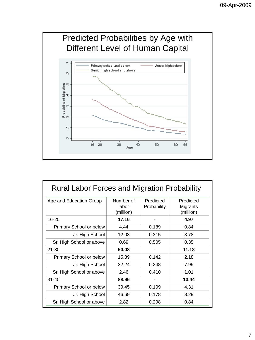

| <b>Rural Labor Forces and Migration Probability</b> |                                 |                          |                                    |  |  |  |
|-----------------------------------------------------|---------------------------------|--------------------------|------------------------------------|--|--|--|
| Age and Education Group                             | Number of<br>labor<br>(million) | Predicted<br>Probability | Predicted<br>Migrants<br>(million) |  |  |  |
| 16-20                                               | 17.16                           |                          | 4.97                               |  |  |  |
| Primary School or below                             | 4.44                            | 0.189                    | 0.84                               |  |  |  |
| Jr. High School                                     | 12.03                           | 0.315                    | 3.78                               |  |  |  |
| Sr. High School or above                            | 0.69                            | 0.505                    | 0.35                               |  |  |  |
| $21 - 30$                                           | 50.08                           |                          | 11.18                              |  |  |  |
| Primary School or below                             | 15.39                           | 0.142                    | 2.18                               |  |  |  |
| Jr. High School                                     | 32.24                           | 0.248                    | 7.99                               |  |  |  |
| Sr. High School or above                            | 2.46                            | 0.410                    | 1.01                               |  |  |  |
| $31 - 40$                                           | 88.96                           |                          | 13.44                              |  |  |  |
| Primary School or below                             | 39.45                           | 0.109                    | 4.31                               |  |  |  |
| Jr. High School                                     | 46.69                           | 0.178                    | 8.29                               |  |  |  |
| Sr. High School or above                            | 2.82                            | 0.298                    | 0.84                               |  |  |  |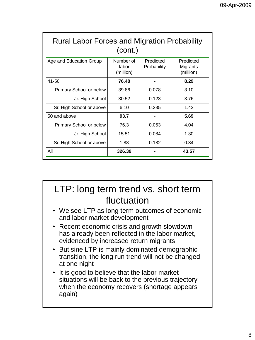| <b>Rural Labor Forces and Migration Probability</b><br>(cont.) |                                 |                          |                                    |  |  |
|----------------------------------------------------------------|---------------------------------|--------------------------|------------------------------------|--|--|
| Age and Education Group                                        | Number of<br>labor<br>(million) | Predicted<br>Probability | Predicted<br>Migrants<br>(million) |  |  |
| 41-50                                                          | 76.48                           |                          | 8.29                               |  |  |
| Primary School or below                                        | 39.86                           | 0.078                    | 3.10                               |  |  |
| Jr. High School                                                | 30.52                           | 0.123                    | 3.76                               |  |  |
| Sr. High School or above                                       | 6.10                            | 0.235                    | 1.43                               |  |  |
| 50 and above                                                   | 93.7                            |                          | 5.69                               |  |  |
| Primary School or below                                        | 76.3                            | 0.053                    | 4.04                               |  |  |
| Jr. High School                                                | 15.51                           | 0.084                    | 1.30                               |  |  |
| Sr. High School or above                                       | 1.88                            | 0.182                    | 0.34                               |  |  |
| All                                                            | 326.39                          |                          | 43.57                              |  |  |

### LTP: long term trend vs. short term fluctuation

- We see LTP as long term outcomes of economic and labor market development
- Recent economic crisis and growth slowdown has already been reflected in the labor market, evidenced by increased return migrants
- But sine LTP is mainly dominated demographic transition, the long run trend will not be changed at one night
- It is good to believe that the labor market situations will be back to the previous trajectory when the economy recovers (shortage appears again)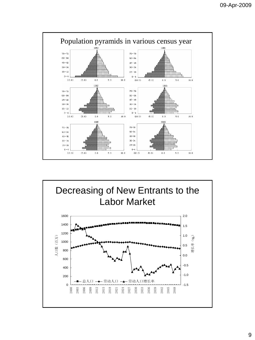

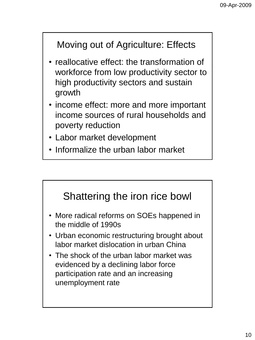## Moving out of Agriculture: Effects

- reallocative effect: the transformation of workforce from low productivity sector to high productivity sectors and sustain growth
- income effect: more and more important income sources of rural households and poverty reduction
- Labor market development
- Informalize the urban labor market

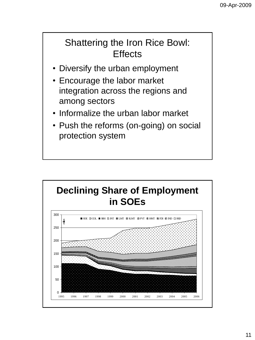### Shattering the Iron Rice Bowl: **Effects**

- Diversify the urban employment
- Encourage the labor market integration across the regions and among sectors
- Informalize the urban labor market
- Push the reforms (on-going) on social protection system

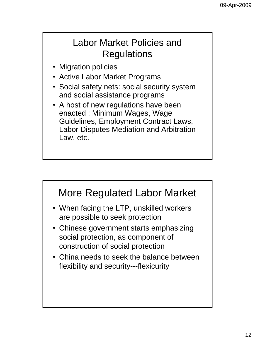#### Labor Market Policies and Regulations

- Migration policies
- Active Labor Market Programs
- Social safety nets: social security system and social assistance programs
- A host of new regulations have been enacted : Minimum Wages, Wage Guidelines, Employment Contract Laws, Labor Disputes Mediation and Arbitration Law, etc.

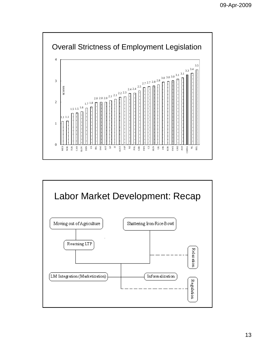

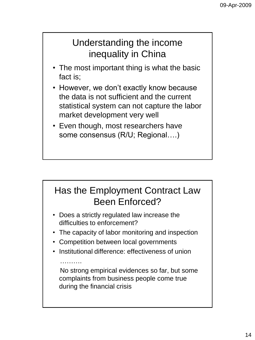### Understanding the income inequality in China

- The most important thing is what the basic fact is;
- However, we don't exactly know because the data is not sufficient and the current statistical system can not capture the labor market development very well
- Even though, most researchers have some consensus (R/U; Regional….)

# Has the Employment Contract Law Been Enforced?

- Does a strictly regulated law increase the difficulties to enforcement?
- The capacity of labor monitoring and inspection
- Competition between local governments

……….

• Institutional difference: effectiveness of union

No strong empirical evidences so far, but some complaints from business people come true during the financial crisis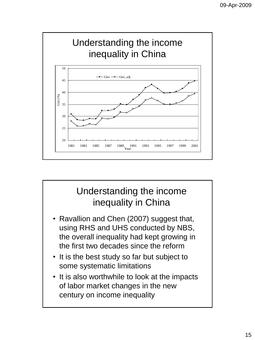

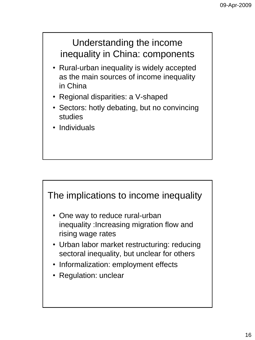#### Understanding the income inequality in China: components

- Rural-urban inequality is widely accepted as the main sources of income inequality in China
- Regional disparities: a V-shaped
- Sectors: hotly debating, but no convincing studies
- Individuals



- Informalization: employment effects
- Regulation: unclear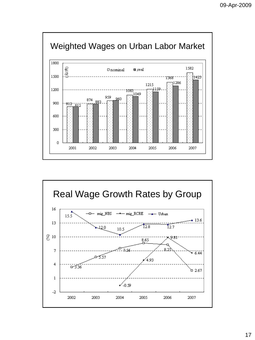



17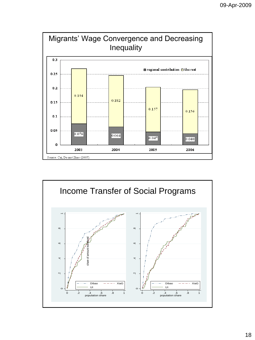

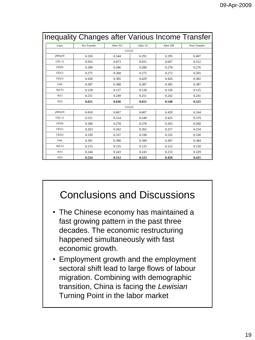| <b>Inequality Changes after Various Income Transfer</b> |              |          |          |          |               |  |
|---------------------------------------------------------|--------------|----------|----------|----------|---------------|--|
| Lines                                                   | Pre-Transfer | After XG | After UI | After DB | Post-Transfer |  |
|                                                         |              | CULS1    |          |          |               |  |
| p90/p10                                                 | 6.326        | 6.544    | 6.291    | 6.195    | 6.407         |  |
| $GE(-1)$                                                | 0.932        | 0.873    | 0.931    | 0.607    | 0.552         |  |
| GE(0)                                                   | 0.289        | 0.286    | 0.289    | 0.278    | 0.276         |  |
| GE(1)                                                   | 0.275        | 0.268    | 0.275    | 0.272    | 0.265         |  |
| GE(2)                                                   | 0.430        | 0.385    | 0.429    | 0.426    | 0.382         |  |
| Gini                                                    | 0.387        | 0.388    | 0.387    | 0.385    | 0.387         |  |
| A(0.5)                                                  | 0.128        | 0.127    | 0.128    | 0.126    | 0.125         |  |
| A(1)                                                    | 0.251        | 0.249    | 0.251    | 0.242    | 0.241         |  |
| A(2)                                                    | 0.651        | 0.636    | 0.651    | 0.548    | 0.525         |  |
| CULS2                                                   |              |          |          |          |               |  |
| p90/p10                                                 | 6.818        | 6.667    | 6.667    | 6.429    | 6.164         |  |
| $GE(-1)$                                                | 0.551        | 0.524    | 0.549    | 0.425    | 0.379         |  |
| GE(0)                                                   | 0.280        | 0.278    | 0.278    | 0.265    | 0.260         |  |
| GE(1)                                                   | 0.263        | 0.262    | 0.262    | 0.257    | 0.254         |  |
| GE(2)                                                   | 0.339        | 0.337    | 0.338    | 0.335    | 0.330         |  |
| Gini                                                    | 0.391        | 0.390    | 0.390    | 0.387    | 0.384         |  |
| A(0.5)                                                  | 0.125        | 0.125    | 0.125    | 0.122    | 0.120         |  |
| A(1)                                                    | 0.244        | 0.243    | 0.243    | 0.233    | 0.229         |  |
| A(2)                                                    | 0.524        | 0.512    | 0.523    | 0.459    | 0.431         |  |

## Conclusions and Discussions

- The Chinese economy has maintained a fast growing pattern in the past three decades. The economic restructuring happened simultaneously with fast economic growth.
- Employment growth and the employment sectoral shift lead to large flows of labour migration. Combining with demographic transition, China is facing the *Lewisian*  Turning Point in the labor market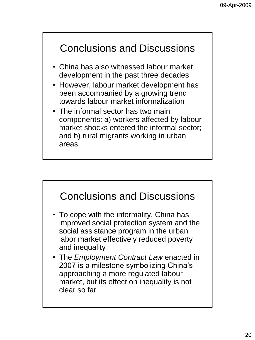# Conclusions and Discussions

- China has also witnessed labour market development in the past three decades
- However, labour market development has been accompanied by a growing trend towards labour market informalization
- The informal sector has two main components: a) workers affected by labour market shocks entered the informal sector; and b) rural migrants working in urban areas.